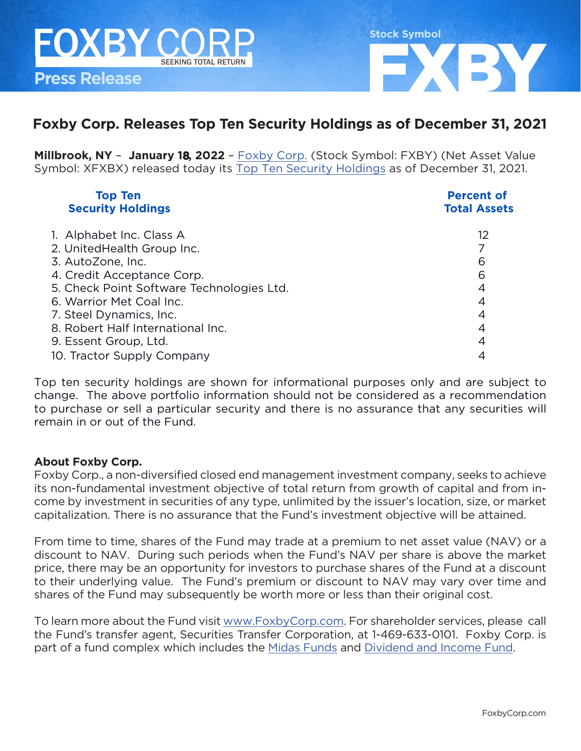

#### **Foxby Corp. Releases Top Ten Security Holdings as of December 31, 2021**

**Millbrook, NY** – **January 18, 2022** – [Foxby Corp.](http://foxbycorp.com) (Stock Symbol: FXBY) (Net Asset Value Symbol: XFXBX) released today its [Top Ten Security Holdings](https://foxbycorp.com/top-ten-security-holdings/) as of December 31, 2021.

| <b>Top Ten</b><br><b>Security Holdings</b> | <b>Percent of</b><br><b>Total Assets</b> |
|--------------------------------------------|------------------------------------------|
|                                            |                                          |
| 1. Alphabet Inc. Class A                   | 12                                       |
| 2. UnitedHealth Group Inc.                 |                                          |
| 3. AutoZone, Inc.                          | 6                                        |
| 4. Credit Acceptance Corp.                 | 6                                        |
| 5. Check Point Software Technologies Ltd.  | 4                                        |
| 6. Warrior Met Coal Inc.                   | 4                                        |
| 7. Steel Dynamics, Inc.                    | 4                                        |
| 8. Robert Half International Inc.          | 4                                        |
| 9. Essent Group, Ltd.                      | 4                                        |
| 10. Tractor Supply Company                 |                                          |

Top ten security holdings are shown for informational purposes only and are subject to change. The above portfolio information should not be considered as a recommendation to purchase or sell a particular security and there is no assurance that any securities will remain in or out of the Fund.

#### **About Foxby Corp.**

Foxby Corp., a non-diversified closed end management investment company, seeks to achieve its non-fundamental investment objective of total return from growth of capital and from income by investment in securities of any type, unlimited by the issuer's location, size, or market capitalization. There is no assurance that the Fund's investment objective will be attained.

From time to time, shares of the Fund may trade at a premium to net asset value (NAV) or a discount to NAV. During such periods when the Fund's NAV per share is above the market price, there may be an opportunity for investors to purchase shares of the Fund at a discount to their underlying value. The Fund's premium or discount to NAV may vary over time and shares of the Fund may subsequently be worth more or less than their original cost.

To learn more about the Fund visit [www.FoxbyCorp.com](http://www.FoxbyCorp.com). For shareholder services, please call the Fund's transfer agent, Securities Transfer Corporation, at 1-469-633-0101. Foxby Corp. is part of a fund complex which includes the [Midas Funds](https://midasfunds.com/) and [Dividend and Income Fund.](http://dividendandincomefund.com)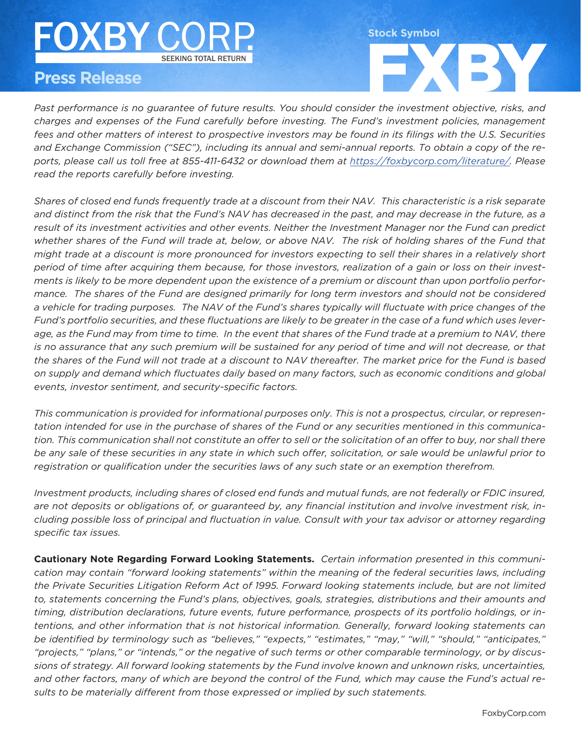## FOXBY CORP. SEEKING TOTAL RETURN SEEKING TOTAL RETURN FOXBY CORP.

## **Press Release**

*Past performance is no guarantee of future results. You should consider the investment objective, risks, and*  FXBY *charges and expenses of the Fund carefully before investing. The Fund's investment policies, management fees and other matters of interest to prospective investors may be found in its filings with the U.S. Securities and Exchange Commission ("SEC"), including its annual and semi-annual reports. To obtain a copy of the reports, please call us toll free at 855-411-6432 or download them at <https://foxbycorp.com/literature/>. Please read the reports carefully before investing.* 

**Stock Symbol**

*Shares of closed end funds frequently trade at a discount from their NAV. This characteristic is a risk separate and distinct from the risk that the Fund's NAV has decreased in the past, and may decrease in the future, as a result of its investment activities and other events. Neither the Investment Manager nor the Fund can predict whether shares of the Fund will trade at, below, or above NAV. The risk of holding shares of the Fund that might trade at a discount is more pronounced for investors expecting to sell their shares in a relatively short period of time after acquiring them because, for those investors, realization of a gain or loss on their investments is likely to be more dependent upon the existence of a premium or discount than upon portfolio performance. The shares of the Fund are designed primarily for long term investors and should not be considered a vehicle for trading purposes. The NAV of the Fund's shares typically will fluctuate with price changes of the Fund's portfolio securities, and these fluctuations are likely to be greater in the case of a fund which uses leverage, as the Fund may from time to time. In the event that shares of the Fund trade at a premium to NAV, there*  is no assurance that any such premium will be sustained for any period of time and will not decrease, or that *the shares of the Fund will not trade at a discount to NAV thereafter. The market price for the Fund is based on supply and demand which fluctuates daily based on many factors, such as economic conditions and global events, investor sentiment, and security-specific factors.* 

*This communication is provided for informational purposes only. This is not a prospectus, circular, or representation intended for use in the purchase of shares of the Fund or any securities mentioned in this communication. This communication shall not constitute an offer to sell or the solicitation of an offer to buy, nor shall there be any sale of these securities in any state in which such offer, solicitation, or sale would be unlawful prior to registration or qualification under the securities laws of any such state or an exemption therefrom.* 

*Investment products, including shares of closed end funds and mutual funds, are not federally or FDIC insured, are not deposits or obligations of, or guaranteed by, any financial institution and involve investment risk, including possible loss of principal and fluctuation in value. Consult with your tax advisor or attorney regarding specific tax issues.*

**Cautionary Note Regarding Forward Looking Statements.** *Certain information presented in this communication may contain "forward looking statements" within the meaning of the federal securities laws, including the Private Securities Litigation Reform Act of 1995. Forward looking statements include, but are not limited*  to, statements concerning the Fund's plans, objectives, goals, strategies, distributions and their amounts and *timing, distribution declarations, future events, future performance, prospects of its portfolio holdings, or intentions, and other information that is not historical information. Generally, forward looking statements can be identified by terminology such as "believes," "expects," "estimates," "may," "will," "should," "anticipates," "projects," "plans," or "intends," or the negative of such terms or other comparable terminology, or by discussions of strategy. All forward looking statements by the Fund involve known and unknown risks, uncertainties, and other factors, many of which are beyond the control of the Fund, which may cause the Fund's actual results to be materially different from those expressed or implied by such statements.*